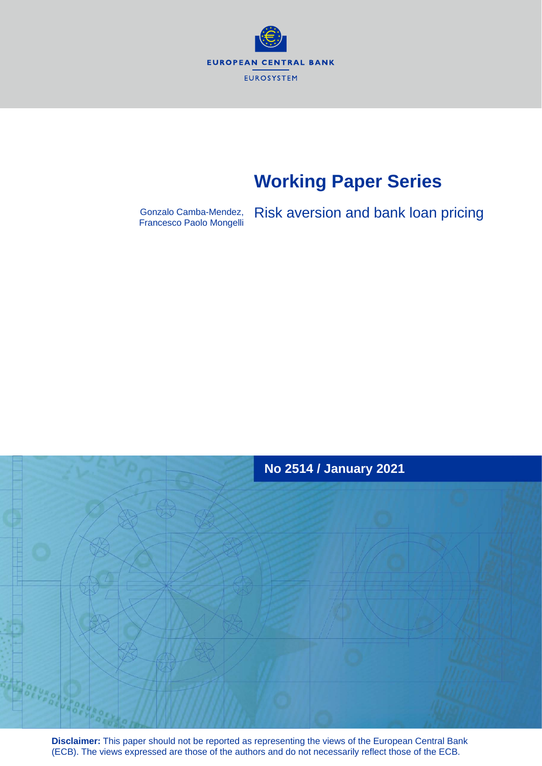

# **Working Paper Series**

Gonzalo Camba-Mendez, Risk aversion and bank loan pricing Francesco Paolo Mongelli



**Disclaimer:** This paper should not be reported as representing the views of the European Central Bank (ECB). The views expressed are those of the authors and do not necessarily reflect those of the ECB.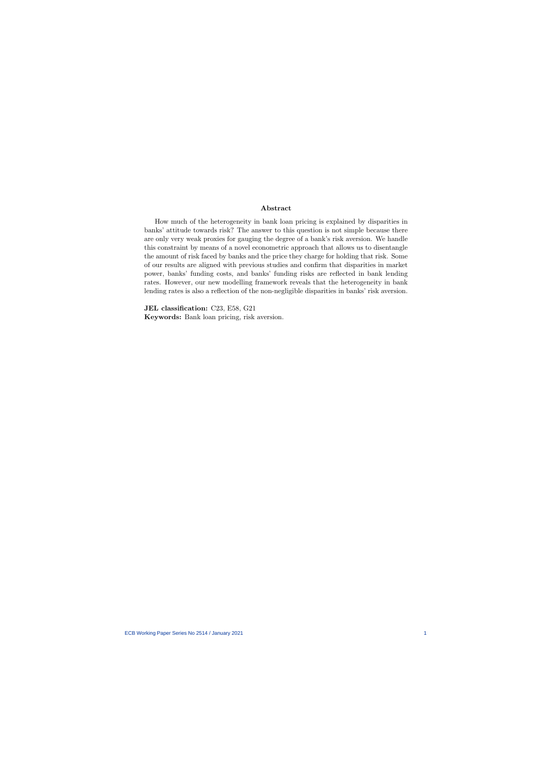#### Abstract

How much of the heterogeneity in bank loan pricing is explained by disparities in banks' attitude towards risk? The answer to this question is not simple because there are only very weak proxies for gauging the degree of a bank's risk aversion. We handle this constraint by means of a novel econometric approach that allows us to disentangle the amount of risk faced by banks and the price they charge for holding that risk. Some of our results are aligned with previous studies and confirm that disparities in market power, banks' funding costs, and banks' funding risks are reflected in bank lending rates. However, our new modelling framework reveals that the heterogeneity in bank lending rates is also a reflection of the non-negligible disparities in banks' risk aversion.

JEL classification: C23, E58, G21

Keywords: Bank loan pricing, risk aversion.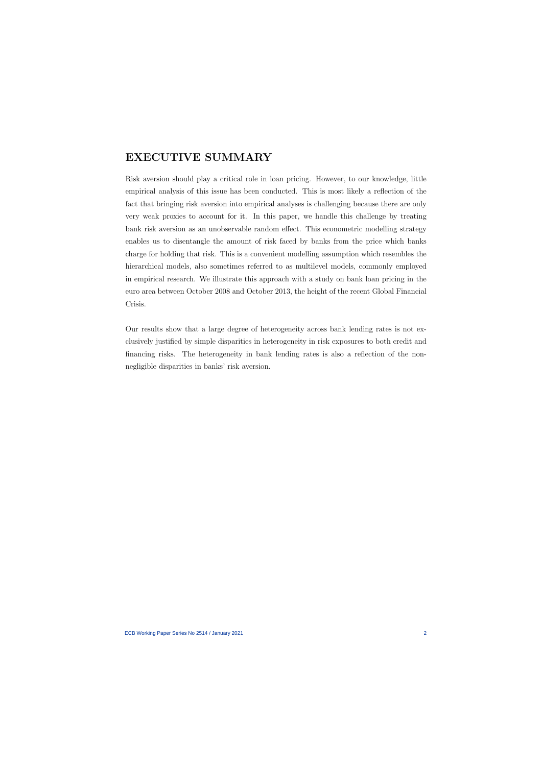# EXECUTIVE SUMMARY

Risk aversion should play a critical role in loan pricing. However, to our knowledge, little empirical analysis of this issue has been conducted. This is most likely a reflection of the fact that bringing risk aversion into empirical analyses is challenging because there are only very weak proxies to account for it. In this paper, we handle this challenge by treating bank risk aversion as an unobservable random effect. This econometric modelling strategy enables us to disentangle the amount of risk faced by banks from the price which banks charge for holding that risk. This is a convenient modelling assumption which resembles the hierarchical models, also sometimes referred to as multilevel models, commonly employed in empirical research. We illustrate this approach with a study on bank loan pricing in the euro area between October 2008 and October 2013, the height of the recent Global Financial Crisis.

Our results show that a large degree of heterogeneity across bank lending rates is not exclusively justified by simple disparities in heterogeneity in risk exposures to both credit and financing risks. The heterogeneity in bank lending rates is also a reflection of the nonnegligible disparities in banks' risk aversion.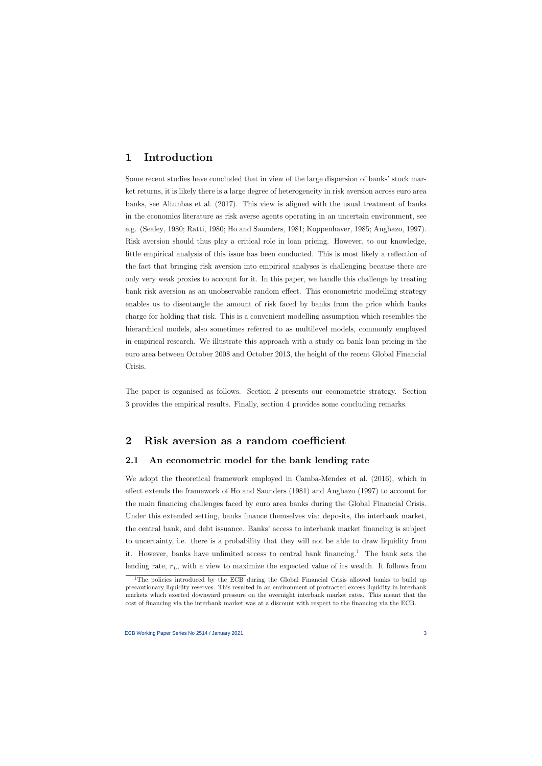## 1 Introduction

Some recent studies have concluded that in view of the large dispersion of banks' stock market returns, it is likely there is a large degree of heterogeneity in risk aversion across euro area banks, see Altunbas et al. (2017). This view is aligned with the usual treatment of banks in the economics literature as risk averse agents operating in an uncertain environment, see e.g. (Sealey, 1980; Ratti, 1980; Ho and Saunders, 1981; Koppenhaver, 1985; Angbazo, 1997). Risk aversion should thus play a critical role in loan pricing. However, to our knowledge, little empirical analysis of this issue has been conducted. This is most likely a reflection of the fact that bringing risk aversion into empirical analyses is challenging because there are only very weak proxies to account for it. In this paper, we handle this challenge by treating bank risk aversion as an unobservable random effect. This econometric modelling strategy enables us to disentangle the amount of risk faced by banks from the price which banks charge for holding that risk. This is a convenient modelling assumption which resembles the hierarchical models, also sometimes referred to as multilevel models, commonly employed in empirical research. We illustrate this approach with a study on bank loan pricing in the euro area between October 2008 and October 2013, the height of the recent Global Financial Crisis.

The paper is organised as follows. Section 2 presents our econometric strategy. Section 3 provides the empirical results. Finally, section 4 provides some concluding remarks.

### 2 Risk aversion as a random coefficient

### 2.1 An econometric model for the bank lending rate

We adopt the theoretical framework employed in Camba-Mendez et al. (2016), which in effect extends the framework of Ho and Saunders (1981) and Angbazo (1997) to account for the main financing challenges faced by euro area banks during the Global Financial Crisis. Under this extended setting, banks finance themselves via: deposits, the interbank market, the central bank, and debt issuance. Banks' access to interbank market financing is subject to uncertainty, i.e. there is a probability that they will not be able to draw liquidity from it. However, banks have unlimited access to central bank financing.<sup>1</sup> The bank sets the lending rate,  $r<sub>L</sub>$ , with a view to maximize the expected value of its wealth. It follows from

<sup>&</sup>lt;sup>1</sup>The policies introduced by the ECB during the Global Financial Crisis allowed banks to build up precautionary liquidity reserves. This resulted in an environment of protracted excess liquidity in interbank markets which exerted downward pressure on the overnight interbank market rates. This meant that the cost of financing via the interbank market was at a discount with respect to the financing via the ECB.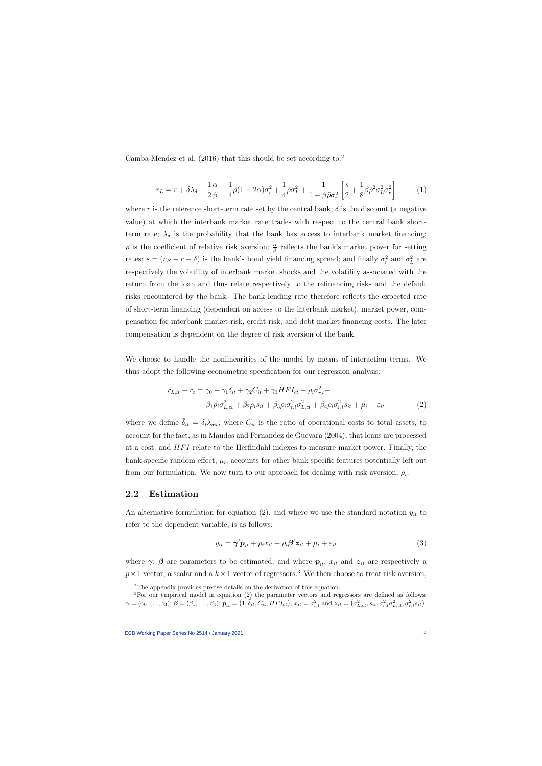Camba-Mendez et al. (2016) that this should be set according to:<sup>2</sup>

$$
r_L = r + \delta\lambda_{\delta} + \frac{1}{2}\frac{\alpha}{\beta} + \frac{1}{4}\tilde{\rho}(1 - 2\alpha)\sigma_r^2 + \frac{1}{4}\tilde{\rho}\sigma_L^2 + \frac{1}{1 - \beta\tilde{\rho}\sigma_r^2} \left[\frac{s}{2} + \frac{1}{8}\beta\tilde{\rho}^2\sigma_L^2\sigma_r^2\right] \tag{1}
$$

where r is the reference short-term rate set by the central bank;  $\delta$  is the discount (a negative value) at which the interbank market rate trades with respect to the central bank shortterm rate;  $\lambda_{\delta}$  is the probability that the bank has access to interbank market financing;  $\rho$  is the coefficient of relative risk aversion;  $\frac{\alpha}{\beta}$  reflects the bank's market power for setting rates;  $s = (r_B - r - \delta)$  is the bank's bond yield financing spread; and finally  $\sigma_r^2$  and  $\sigma_L^2$  are respectively the volatility of interbank market shocks and the volatility associated with the return from the loan and thus relate respectively to the refinancing risks and the default risks encountered by the bank. The bank lending rate therefore reflects the expected rate of short-term financing (dependent on access to the interbank market), market power, compensation for interbank market risk, credit risk, and debt market financing costs. The later compensation is dependent on the degree of risk aversion of the bank.

We choose to handle the nonlinearities of the model by means of interaction terms. We thus adopt the following econometric specification for our regression analysis:

$$
r_{L,it} - r_t = \gamma_0 + \gamma_1 \overline{\delta}_{it} + \gamma_2 C_{it} + \gamma_3 H F I_{ct} + \rho_i \sigma_{r,t}^2 +
$$
  

$$
\beta_1 \rho_i \sigma_{L,ct}^2 + \beta_2 \rho_i s_{it} + \beta_3 \rho_i \sigma_{r,t}^2 \sigma_{L,ct}^2 + \beta_4 \rho_i \sigma_{r,t}^2 s_{it} + \mu_i + \varepsilon_{it}
$$
 (2)

where we define  $\bar{\delta}_{it} = \delta_t \lambda_{\delta it}$ ; where  $C_{it}$  is the ratio of operational costs to total assets, to account for the fact, as in Maudos and Fernandez de Guevara (2004), that loans are processed at a cost; and *HFI* relate to the Herfindahl indexes to measure market power. Finally, the bank-specific random effect,  $\mu_i$ , accounts for other bank specific features potentially left out from our formulation. We now turn to our approach for dealing with risk aversion,  $\rho_i$ .

### 2.2 Estimation

An alternative formulation for equation (2), and where we use the standard notation  $y_{it}$  to refer to the dependent variable, is as follows:

$$
y_{it} = \gamma' \mathbf{p}_{it} + \rho_i x_{it} + \rho_i \beta' \mathbf{z}_{it} + \mu_i + \varepsilon_{it}
$$
\n(3)

where  $\gamma$ ;  $\beta$  are parameters to be estimated; and where  $p_{it}$ ,  $x_{it}$  and  $z_{it}$  are respectively a  $p \times 1$  vector, a scalar and a  $k \times 1$  vector of regressors.<sup>3</sup> We then choose to treat risk aversion,

<sup>&</sup>lt;sup>2</sup>The appendix provides precise details on the derivation of this equation.

 ${}^{3}$ For our empirical model in equation (2) the parameter vectors and regressors are defined as follows:  $\boldsymbol{\gamma}=(\gamma_0,\ldots,\gamma_3);\ \boldsymbol{\beta}=(\beta_1,\ldots,\beta_4);\ \boldsymbol{p}_{it}=\big(1,\vec{\delta}_{it},C_{it},HFI_{ct}\big),\ x_{it}=\sigma_{r,t}^2\ \text{and}\ \boldsymbol{z}_{it}=\big(\sigma_{L,ct}^2,s_{it},\sigma_{r,t}^2\sigma_{L,ct}^2,\sigma_{r,t}^2s_{it}\big).$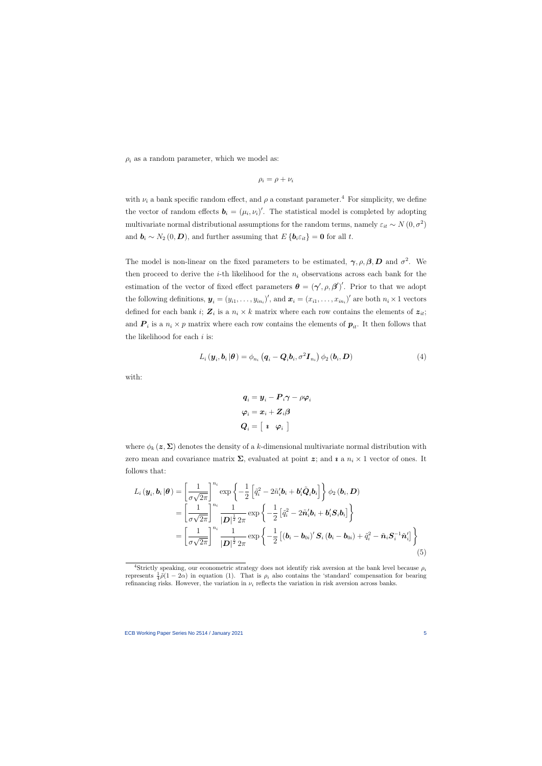$\rho_i$  as a random parameter, which we model as:

$$
\rho_i = \rho + \nu_i
$$

with  $\nu_i$  a bank specific random effect, and  $\rho$  a constant parameter.<sup>4</sup> For simplicity, we define the vector of random effects  $\mathbf{b}_i = (\mu_i, \nu_i)'$ . The statistical model is completed by adopting multivariate normal distributional assumptions for the random terms, namely  $\varepsilon_{it} \sim N(0, \sigma^2)$ and  $\mathbf{b}_i \sim N_2(0, \mathbf{D})$ , and further assuming that  $E\{\mathbf{b}_i \varepsilon_{it}\} = \mathbf{0}$  for all t.

The model is non-linear on the fixed parameters to be estimated,  $\gamma$ ,  $\rho$ ,  $\beta$ ,  $\bm{D}$  and  $\sigma^2$ . We then proceed to derive the *i*-th likelihood for the  $n_i$  observations across each bank for the estimation of the vector of fixed effect parameters  $\boldsymbol{\theta} = (\boldsymbol{\gamma}', \rho, \boldsymbol{\beta}')'$ . Prior to that we adopt the following definitions,  $\boldsymbol{y}_i = (y_{i1}, \dots, y_{in_i})'$ , and  $\boldsymbol{x}_i = (x_{i1}, \dots, x_{in_i})'$  are both  $n_i \times 1$  vectors defined for each bank *i*;  $\mathbf{Z}_i$  is a  $n_i \times k$  matrix where each row contains the elements of  $\mathbf{z}_{it}$ ; and  $P_i$  is a  $n_i \times p$  matrix where each row contains the elements of  $p_{it}$ . It then follows that the likelihood for each  $i$  is:

$$
L_i(\boldsymbol{y}_i, \boldsymbol{b}_i | \boldsymbol{\theta}) = \phi_{n_i} (q_i - \boldsymbol{Q}_i \boldsymbol{b}_i, \sigma^2 \boldsymbol{I}_{n_i}) \phi_2 (\boldsymbol{b}_i, \boldsymbol{D})
$$
(4)

with:

$$
\begin{aligned} \boldsymbol{q}_i &= \boldsymbol{y}_i - \boldsymbol{P}_i \boldsymbol{\gamma} - \rho \boldsymbol{\varphi}_i \\ \boldsymbol{\varphi}_i &= \boldsymbol{x}_i + \boldsymbol{Z}_i \boldsymbol{\beta} \\ \boldsymbol{Q}_i &= \left[\begin{array}{cc} \boldsymbol{\imath} & \boldsymbol{\varphi}_i \end{array}\right] \end{aligned}
$$

where  $\phi_k(z, \Sigma)$  denotes the density of a k-dimensional multivariate normal distribution with zero mean and covariance matrix  $\Sigma$ , evaluated at point z; and *i* a  $n_i \times 1$  vector of ones. It follows that:

$$
L_{i}(\boldsymbol{y}_{i},\boldsymbol{b}_{i}|\boldsymbol{\theta}) = \left[\frac{1}{\sigma\sqrt{2\pi}}\right]^{n_{i}} \exp\left\{-\frac{1}{2}\left[\tilde{q}_{i}^{2} - 2\tilde{n}_{i}'\boldsymbol{b}_{i} + \boldsymbol{b}_{i}'\tilde{\boldsymbol{Q}}_{i}\boldsymbol{b}_{i}\right]\right\}\phi_{2}(\boldsymbol{b}_{i},\boldsymbol{D})
$$
  
\n
$$
= \left[\frac{1}{\sigma\sqrt{2\pi}}\right]^{n_{i}} \frac{1}{|\boldsymbol{D}|^{\frac{1}{2}} 2\pi} \exp\left\{-\frac{1}{2}\left[\tilde{q}_{i}^{2} - 2\tilde{\boldsymbol{n}}_{i}'\boldsymbol{b}_{i} + \boldsymbol{b}_{i}'\boldsymbol{S}_{i}\boldsymbol{b}_{i}\right]\right\}
$$
  
\n
$$
= \left[\frac{1}{\sigma\sqrt{2\pi}}\right]^{n_{i}} \frac{1}{|\boldsymbol{D}|^{\frac{1}{2}} 2\pi} \exp\left\{-\frac{1}{2}\left[(\boldsymbol{b}_{i} - \boldsymbol{b}_{0i})'\boldsymbol{S}_{i}(\boldsymbol{b}_{i} - \boldsymbol{b}_{0i}) + \tilde{q}_{i}^{2} - \tilde{\boldsymbol{n}}_{i}\boldsymbol{S}_{i}^{-1}\tilde{\boldsymbol{n}}_{i}'\right]\right\}
$$
  
\n(5)

<sup>&</sup>lt;sup>4</sup>Strictly speaking, our econometric strategy does not identify risk aversion at the bank level because  $\rho_i$ represents  $\frac{1}{4}\tilde{\rho}(1-2\alpha)$  in equation (1). That is  $\rho_i$  also contains the 'standard' compensation for bearing refinancing risks. However, the variation in  $\nu_i$  reflects the variation in risk aversion across banks.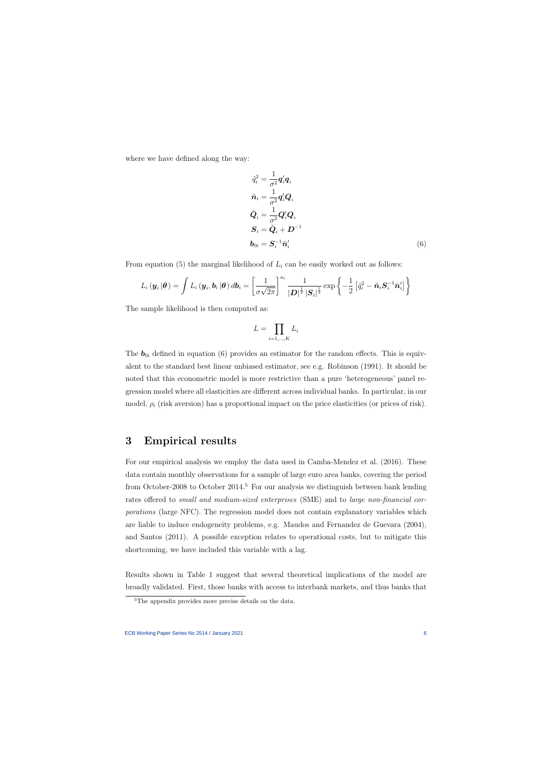where we have defined along the way:

$$
\tilde{q}_i^2 = \frac{1}{\sigma^2} \mathbf{q}_i' \mathbf{q}_i
$$
\n
$$
\tilde{n}_i = \frac{1}{\sigma^2} \mathbf{q}_i' \mathbf{Q}_i
$$
\n
$$
\tilde{\mathbf{Q}}_i = \frac{1}{\sigma^2} \mathbf{Q}_i' \mathbf{Q}_i
$$
\n
$$
\mathbf{S}_i = \tilde{\mathbf{Q}}_i + \mathbf{D}^{-1}
$$
\n
$$
\mathbf{b}_{0i} = \mathbf{S}_i^{-1} \tilde{\mathbf{n}}_i' \tag{6}
$$

From equation (5) the marginal likelihood of  $L<sub>i</sub>$  can be easily worked out as follows:

$$
L_i(\boldsymbol{y}_i|\boldsymbol{\theta}) = \int L_i(\boldsymbol{y}_i, \boldsymbol{b}_i|\boldsymbol{\theta}) d\boldsymbol{b}_i = \left[\frac{1}{\sigma\sqrt{2\pi}}\right]^{n_i} \frac{1}{|\boldsymbol{D}|^{\frac{1}{2}} |\boldsymbol{S}_i|^{\frac{1}{2}}} \exp\left\{-\frac{1}{2}\left[\tilde{q}_i^2 - \tilde{\boldsymbol{n}}_i \boldsymbol{S}_i^{-1} \tilde{\boldsymbol{n}}_i'\right]\right\}
$$

The sample likelihood is then computed as:

$$
L = \prod_{i=1,\dots,K} L_i
$$

The  $b_{0i}$  defined in equation (6) provides an estimator for the random effects. This is equivalent to the standard best linear unbiased estimator, see e.g. Robinson (1991). It should be noted that this econometric model is more restrictive than a pure 'heterogeneous' panel regression model where all elasticities are different across individual banks. In particular, in our model,  $\rho_i$  (risk aversion) has a proportional impact on the price elasticities (or prices of risk).

### 3 Empirical results

For our empirical analysis we employ the data used in Camba-Mendez et al. (2016). These data contain monthly observations for a sample of large euro area banks, covering the period from October-2008 to October 2014.<sup>5</sup> For our analysis we distinguish between bank lending rates offered to small and medium-sized enterprises (SME) and to large non-financial corporations (large NFC). The regression model does not contain explanatory variables which are liable to induce endogeneity problems, e.g. Maudos and Fernandez de Guevara (2004), and Santos (2011). A possible exception relates to operational costs, but to mitigate this shortcoming, we have included this variable with a lag.

Results shown in Table 1 suggest that several theoretical implications of the model are broadly validated. First, those banks with access to interbank markets, and thus banks that

<sup>&</sup>lt;sup>5</sup>The appendix provides more precise details on the data.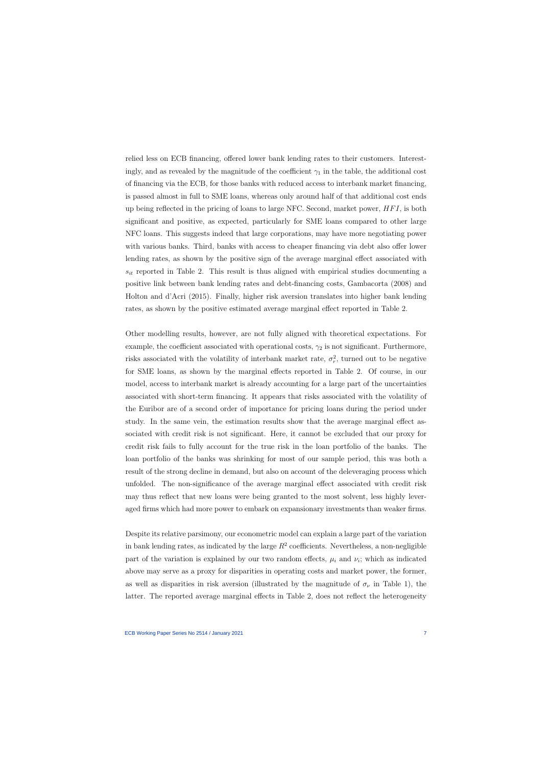relied less on ECB financing, offered lower bank lending rates to their customers. Interestingly, and as revealed by the magnitude of the coefficient  $\gamma_1$  in the table, the additional cost of financing via the ECB, for those banks with reduced access to interbank market financing, is passed almost in full to SME loans, whereas only around half of that additional cost ends up being reflected in the pricing of loans to large NFC. Second, market power,  $HFI$ , is both significant and positive, as expected, particularly for SME loans compared to other large NFC loans. This suggests indeed that large corporations, may have more negotiating power with various banks. Third, banks with access to cheaper financing via debt also offer lower lending rates, as shown by the positive sign of the average marginal effect associated with  $s_{it}$  reported in Table 2. This result is thus aligned with empirical studies documenting a positive link between bank lending rates and debt-financing costs, Gambacorta (2008) and Holton and d'Acri (2015). Finally, higher risk aversion translates into higher bank lending rates, as shown by the positive estimated average marginal effect reported in Table 2.

Other modelling results, however, are not fully aligned with theoretical expectations. For example, the coefficient associated with operational costs,  $\gamma_2$  is not significant. Furthermore, risks associated with the volatility of interbank market rate,  $\sigma_r^2$ , turned out to be negative for SME loans, as shown by the marginal effects reported in Table 2. Of course, in our model, access to interbank market is already accounting for a large part of the uncertainties associated with short-term financing. It appears that risks associated with the volatility of the Euribor are of a second order of importance for pricing loans during the period under study. In the same vein, the estimation results show that the average marginal effect associated with credit risk is not significant. Here, it cannot be excluded that our proxy for credit risk fails to fully account for the true risk in the loan portfolio of the banks. The loan portfolio of the banks was shrinking for most of our sample period, this was both a result of the strong decline in demand, but also on account of the deleveraging process which unfolded. The non-significance of the average marginal effect associated with credit risk may thus reflect that new loans were being granted to the most solvent, less highly leveraged firms which had more power to embark on expansionary investments than weaker firms.

Despite its relative parsimony, our econometric model can explain a large part of the variation in bank lending rates, as indicated by the large  $R^2$  coefficients. Nevertheless, a non-negligible part of the variation is explained by our two random effects,  $\mu_i$  and  $\nu_i$ ; which as indicated above may serve as a proxy for disparities in operating costs and market power, the former, as well as disparities in risk aversion (illustrated by the magnitude of  $\sigma_{\nu}$  in Table 1), the latter. The reported average marginal effects in Table 2, does not reflect the heterogeneity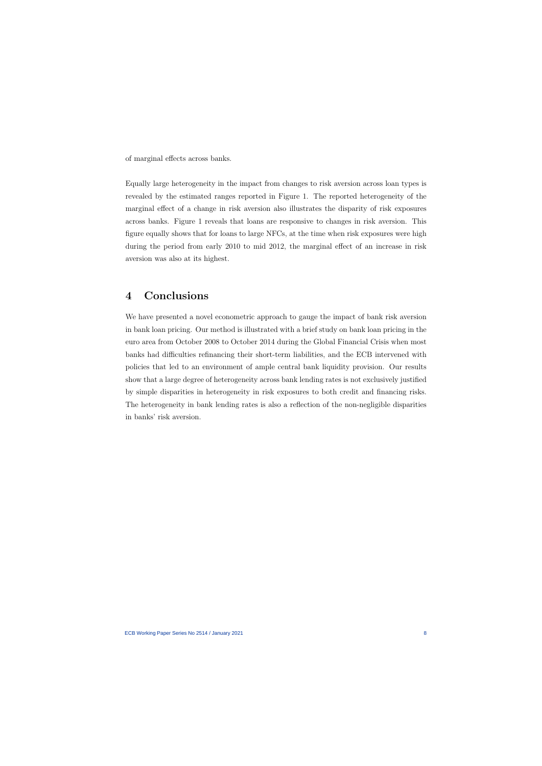of marginal effects across banks.

Equally large heterogeneity in the impact from changes to risk aversion across loan types is revealed by the estimated ranges reported in Figure 1. The reported heterogeneity of the marginal effect of a change in risk aversion also illustrates the disparity of risk exposures across banks. Figure 1 reveals that loans are responsive to changes in risk aversion. This figure equally shows that for loans to large NFCs, at the time when risk exposures were high during the period from early 2010 to mid 2012, the marginal effect of an increase in risk aversion was also at its highest.

## 4 Conclusions

We have presented a novel econometric approach to gauge the impact of bank risk aversion in bank loan pricing. Our method is illustrated with a brief study on bank loan pricing in the euro area from October 2008 to October 2014 during the Global Financial Crisis when most banks had difficulties refinancing their short-term liabilities, and the ECB intervened with policies that led to an environment of ample central bank liquidity provision. Our results show that a large degree of heterogeneity across bank lending rates is not exclusively justified by simple disparities in heterogeneity in risk exposures to both credit and financing risks. The heterogeneity in bank lending rates is also a reflection of the non-negligible disparities in banks' risk aversion.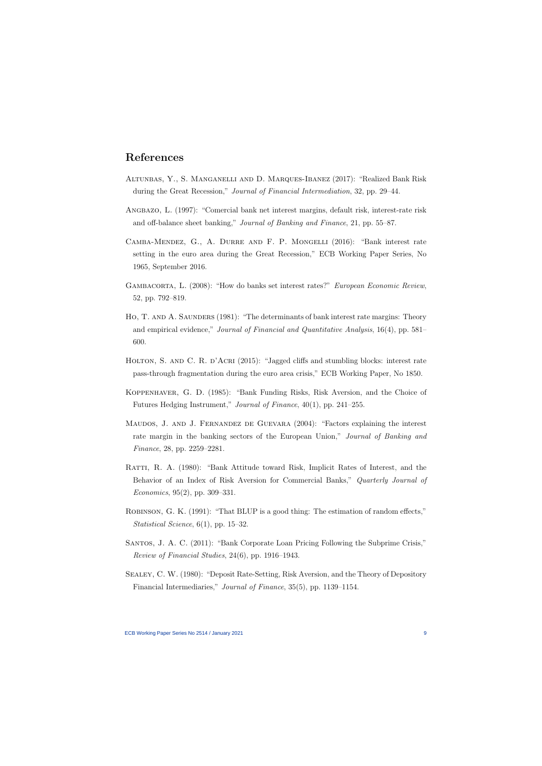## References

- Altunbas, Y., S. Manganelli and D. Marques-Ibanez (2017): "Realized Bank Risk during the Great Recession," Journal of Financial Intermediation, 32, pp. 29–44.
- Angbazo, L. (1997): "Comercial bank net interest margins, default risk, interest-rate risk and off-balance sheet banking," Journal of Banking and Finance, 21, pp. 55–87.
- Camba-Mendez, G., A. Durre and F. P. Mongelli (2016): "Bank interest rate setting in the euro area during the Great Recession," ECB Working Paper Series, No 1965, September 2016.
- GAMBACORTA, L. (2008): "How do banks set interest rates?" European Economic Review, 52, pp. 792–819.
- HO, T. AND A. SAUNDERS (1981): "The determinants of bank interest rate margins: Theory and empirical evidence," Journal of Financial and Quantitative Analysis, 16(4), pp. 581– 600.
- HOLTON, S. AND C. R. D'ACRI (2015): "Jagged cliffs and stumbling blocks: interest rate pass-through fragmentation during the euro area crisis," ECB Working Paper, No 1850.
- Koppenhaver, G. D. (1985): "Bank Funding Risks, Risk Aversion, and the Choice of Futures Hedging Instrument," Journal of Finance, 40(1), pp. 241–255.
- Maudos, J. and J. Fernandez de Guevara (2004): "Factors explaining the interest rate margin in the banking sectors of the European Union," Journal of Banking and Finance, 28, pp. 2259–2281.
- Ratti, R. A. (1980): "Bank Attitude toward Risk, Implicit Rates of Interest, and the Behavior of an Index of Risk Aversion for Commercial Banks," Quarterly Journal of Economics, 95(2), pp. 309–331.
- ROBINSON, G. K. (1991): "That BLUP is a good thing: The estimation of random effects," Statistical Science, 6(1), pp. 15–32.
- Santos, J. A. C. (2011): "Bank Corporate Loan Pricing Following the Subprime Crisis," Review of Financial Studies, 24(6), pp. 1916–1943.
- Sealey, C. W. (1980): "Deposit Rate-Setting, Risk Aversion, and the Theory of Depository Financial Intermediaries," Journal of Finance, 35(5), pp. 1139–1154.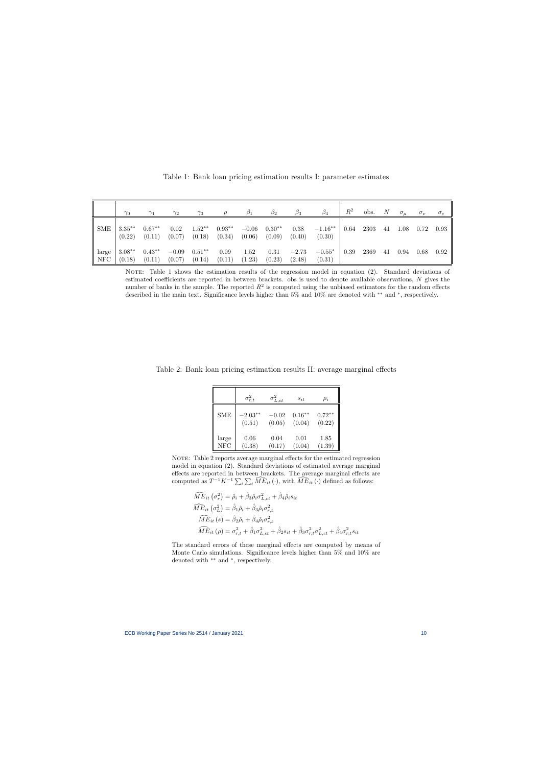|              | $\gamma_0$         | $\gamma_1$         | $\gamma_2$        | $\gamma_3$          |                    | B1                | $\beta_2$          | $\beta_3$         | $\beta_4$           | $\,R^2$ | obs. | $\boldsymbol{N}$ | $\sigma_{\mu}$ | $\sigma_{\nu}$ | $\sigma_{\varepsilon}$ |
|--------------|--------------------|--------------------|-------------------|---------------------|--------------------|-------------------|--------------------|-------------------|---------------------|---------|------|------------------|----------------|----------------|------------------------|
| SME          | $3.35**$<br>(0.22) | $0.67**$<br>(0.11) | 0.02<br>(0.07)    | $1.52**$<br>(0.18)  | $0.93**$<br>(0.34) | $-0.06$<br>(0.06) | $0.30**$<br>(0.09) | 0.38<br>(0.40)    | $-1.16**$<br>(0.30) | 0.64    | 2303 | 41               | 1.08           | 0.72           | 0.93                   |
| large<br>NFC | $3.08**$<br>(0.18) | $0.43**$<br>(0.11) | $-0.09$<br>(0.07) | $0.51***$<br>(0.14) | 0.09<br>(0.11)     | 1.52<br>(1.23)    | 0.31<br>(0.23)     | $-2.73$<br>(2.48) | $-0.55*$<br>(0.31)  | 0.39    | 2369 | 41               | 0.94           | 0.68           | 0.92                   |

Table 1: Bank loan pricing estimation results I: parameter estimates

NOTE: Table 1 shows the estimation results of the regression model in equation (2). Standard deviations of estimated coefficients are reported in between brackets. obs is used to denote available observations, N gives the number of banks in the sample. The reported  $R^2$  is computed using the unbiased estimators for the random effects described in the main text. Significance levels higher than 5% and 10% are denoted with <sup>\*\*</sup> and <sup>\*</sup>, respectively.

Table 2: Bank loan pricing estimation results II: average marginal effects

|               | $\sigma_{r,t}^2$ | $\sigma_{L,ct}^2$ | $s_{it}$ | $\rho_i$ |
|---------------|------------------|-------------------|----------|----------|
| <b>SME</b>    | $-2.03**$        | $-0.02$           | $0.16**$ | $0.72**$ |
|               | (0.51)           | (0.05)            | (0.04)   | (0.22)   |
| large         | 0.06             | 0.04              | 0.01     | 1.85     |
| $_{\rm{NFC}}$ | (0.38)           | (0.17)            | (0.04)   | (1.39)   |

NOTE: Table 2 reports average marginal effects for the estimated regression model in equation (2). Standard deviations of estimated average marginal effects are reported in between brackets. The average marginal effects are computed as  $T^{-1}K^{-1}\sum_{i}\sum_{t}\widehat{ME}_{it}(\cdot)$ , with  $\widehat{ME}_{it}(\cdot)$  defined as follows:

$$
\widehat{ME}_{it} (\sigma_r^2) = \hat{\rho}_i + \hat{\beta}_3 \hat{\rho}_i \sigma_{L,ct}^2 + \hat{\beta}_4 \hat{\rho}_i s_{it}
$$
\n
$$
\widehat{ME}_{it} (\sigma_L^2) = \hat{\beta}_1 \hat{\rho}_i + \hat{\beta}_3 \hat{\rho}_i \sigma_{r,t}^2
$$
\n
$$
\widehat{ME}_{it} (s) = \hat{\beta}_2 \hat{\rho}_i + \hat{\beta}_4 \hat{\rho}_i \sigma_{r,t}^2
$$
\n
$$
\widehat{ME}_{it} (\rho) = \sigma_{r,t}^2 + \hat{\beta}_1 \sigma_{L,ct}^2 + \hat{\beta}_2 s_{it} + \hat{\beta}_3 \sigma_{r,t}^2 \sigma_{L,ct}^2 + \hat{\beta}_4 \sigma_{r,t}^2 s_{it}
$$

The standard errors of these marginal effects are computed by means of Monte Carlo simulations. Significance levels higher than 5% and 10% are denoted with ∗∗ and <sup>∗</sup> , respectively.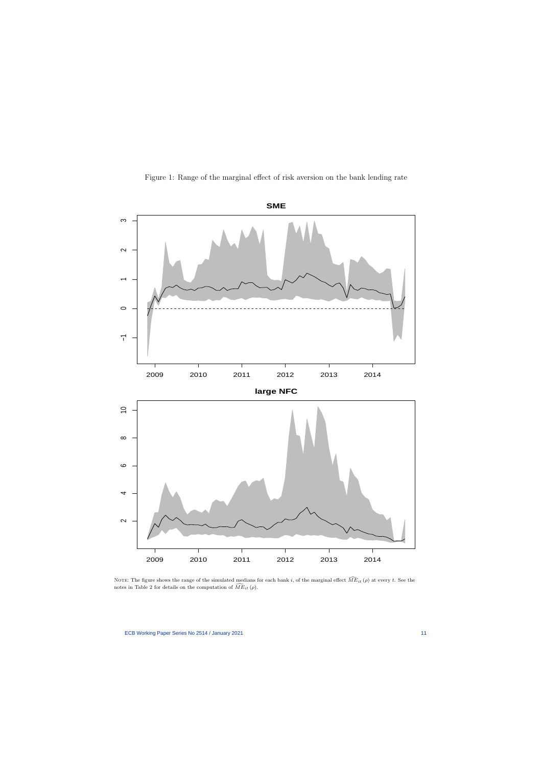

Figure 1: Range of the marginal effect of risk aversion on the bank lending rate

NOTE: The figure shows the range of the simulated medians for each bank i, of the marginal effect  $\widehat{ME}_{it}(\rho)$  at every t. See the notes in Table 2 for details on the computation of  $\widehat{ME}_{it}(\rho)$ .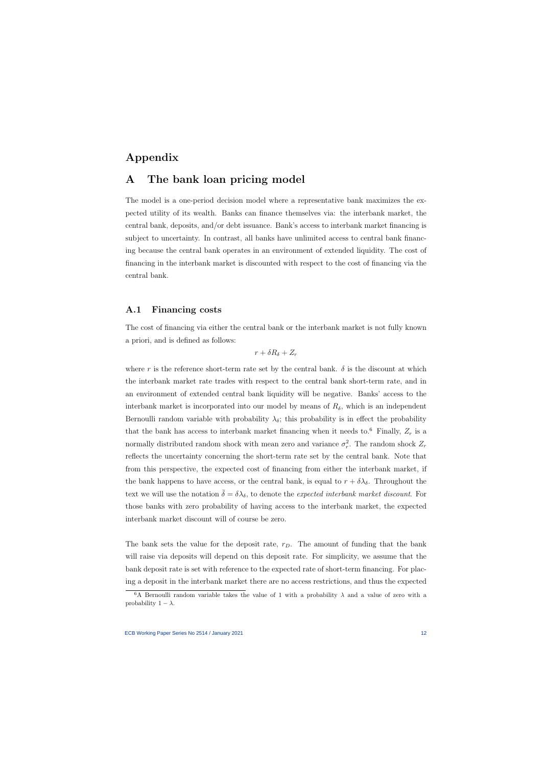## Appendix

## A The bank loan pricing model

The model is a one-period decision model where a representative bank maximizes the expected utility of its wealth. Banks can finance themselves via: the interbank market, the central bank, deposits, and/or debt issuance. Bank's access to interbank market financing is subject to uncertainty. In contrast, all banks have unlimited access to central bank financing because the central bank operates in an environment of extended liquidity. The cost of financing in the interbank market is discounted with respect to the cost of financing via the central bank.

### A.1 Financing costs

The cost of financing via either the central bank or the interbank market is not fully known a priori, and is defined as follows:

$$
r + \delta R_{\delta} + Z_r
$$

where r is the reference short-term rate set by the central bank.  $\delta$  is the discount at which the interbank market rate trades with respect to the central bank short-term rate, and in an environment of extended central bank liquidity will be negative. Banks' access to the interbank market is incorporated into our model by means of  $R_{\delta}$ , which is an independent Bernoulli random variable with probability  $\lambda_{\delta}$ ; this probability is in effect the probability that the bank has access to interbank market financing when it needs to.<sup>6</sup> Finally,  $Z_r$  is a normally distributed random shock with mean zero and variance  $\sigma_r^2$ . The random shock  $Z_r$ reflects the uncertainty concerning the short-term rate set by the central bank. Note that from this perspective, the expected cost of financing from either the interbank market, if the bank happens to have access, or the central bank, is equal to  $r + \delta \lambda_{\delta}$ . Throughout the text we will use the notation  $\bar{\delta} = \delta \lambda_{\delta}$ , to denote the expected interbank market discount. For those banks with zero probability of having access to the interbank market, the expected interbank market discount will of course be zero.

The bank sets the value for the deposit rate,  $r_D$ . The amount of funding that the bank will raise via deposits will depend on this deposit rate. For simplicity, we assume that the bank deposit rate is set with reference to the expected rate of short-term financing. For placing a deposit in the interbank market there are no access restrictions, and thus the expected

<sup>&</sup>lt;sup>6</sup>A Bernoulli random variable takes the value of 1 with a probability  $\lambda$  and a value of zero with a probability  $1 - \lambda$ .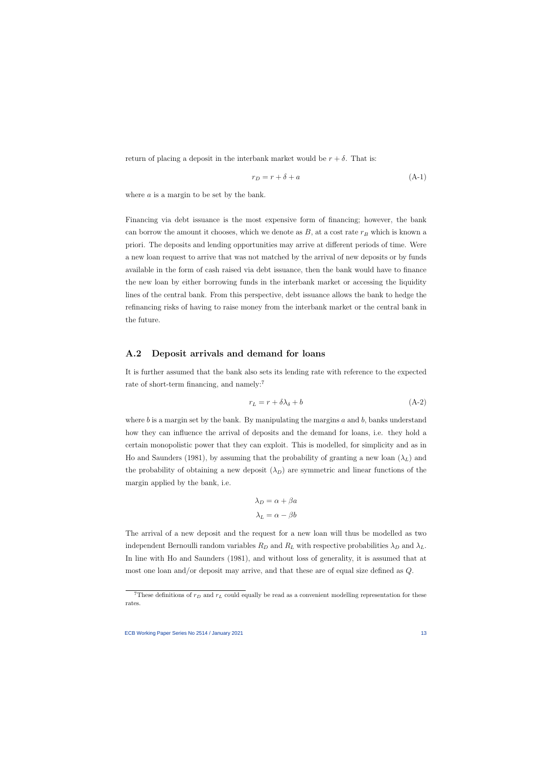return of placing a deposit in the interbank market would be  $r + \delta$ . That is:

$$
r_D = r + \delta + a \tag{A-1}
$$

where a is a margin to be set by the bank.

Financing via debt issuance is the most expensive form of financing; however, the bank can borrow the amount it chooses, which we denote as  $B$ , at a cost rate  $r_B$  which is known a priori. The deposits and lending opportunities may arrive at different periods of time. Were a new loan request to arrive that was not matched by the arrival of new deposits or by funds available in the form of cash raised via debt issuance, then the bank would have to finance the new loan by either borrowing funds in the interbank market or accessing the liquidity lines of the central bank. From this perspective, debt issuance allows the bank to hedge the refinancing risks of having to raise money from the interbank market or the central bank in the future.

#### A.2 Deposit arrivals and demand for loans

It is further assumed that the bank also sets its lending rate with reference to the expected rate of short-term financing, and namely:<sup>7</sup>

$$
r_L = r + \delta\lambda_\delta + b \tag{A-2}
$$

where b is a margin set by the bank. By manipulating the margins  $a$  and  $b$ , banks understand how they can influence the arrival of deposits and the demand for loans, i.e. they hold a certain monopolistic power that they can exploit. This is modelled, for simplicity and as in Ho and Saunders (1981), by assuming that the probability of granting a new loan  $(\lambda_L)$  and the probability of obtaining a new deposit  $(\lambda_D)$  are symmetric and linear functions of the margin applied by the bank, i.e.

$$
\lambda_D = \alpha + \beta a
$$

$$
\lambda_L = \alpha - \beta b
$$

The arrival of a new deposit and the request for a new loan will thus be modelled as two independent Bernoulli random variables  $R_D$  and  $R_L$  with respective probabilities  $\lambda_D$  and  $\lambda_L$ . In line with Ho and Saunders (1981), and without loss of generality, it is assumed that at most one loan and/or deposit may arrive, and that these are of equal size defined as Q.

<sup>&</sup>lt;sup>7</sup>These definitions of  $r_D$  and  $r_L$  could equally be read as a convenient modelling representation for these rates.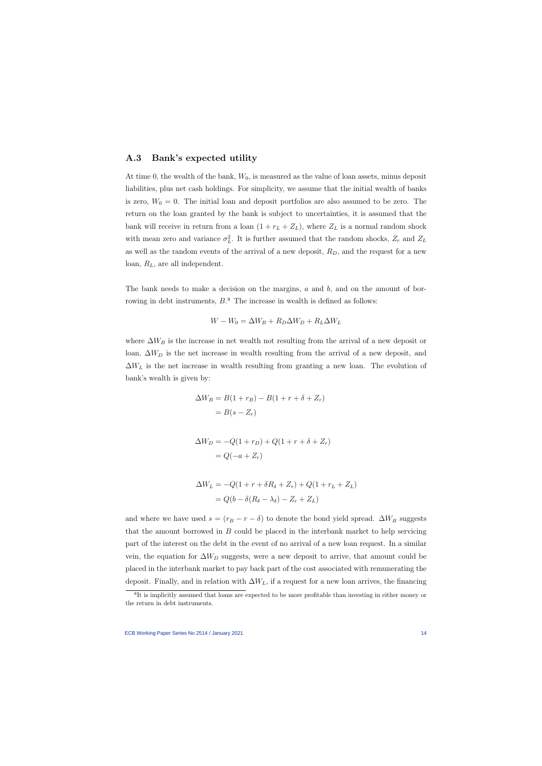#### A.3 Bank's expected utility

At time 0, the wealth of the bank,  $W_0$ , is measured as the value of loan assets, minus deposit liabilities, plus net cash holdings. For simplicity, we assume that the initial wealth of banks is zero,  $W_0 = 0$ . The initial loan and deposit portfolios are also assumed to be zero. The return on the loan granted by the bank is subject to uncertainties, it is assumed that the bank will receive in return from a loan  $(1 + r_L + Z_L)$ , where  $Z_L$  is a normal random shock with mean zero and variance  $\sigma_L^2$ . It is further assumed that the random shocks,  $Z_r$  and  $Z_L$ as well as the random events of the arrival of a new deposit,  $R_D$ , and the request for a new loan,  $R_L$ , are all independent.

The bank needs to make a decision on the margins,  $a$  and  $b$ , and on the amount of borrowing in debt instruments,  $B$ <sup>8</sup>. The increase in wealth is defined as follows:

$$
W - W_0 = \Delta W_B + R_D \Delta W_D + R_L \Delta W_L
$$

where  $\Delta W_B$  is the increase in net wealth not resulting from the arrival of a new deposit or loan,  $\Delta W_D$  is the net increase in wealth resulting from the arrival of a new deposit, and  $\Delta W_L$  is the net increase in wealth resulting from granting a new loan. The evolution of bank's wealth is given by:

$$
\Delta W_B = B(1 + r_B) - B(1 + r + \delta + Z_r)
$$

$$
= B(s - Z_r)
$$

$$
\Delta W_D = -Q(1+r_D) + Q(1+r+\delta + Z_r)
$$

$$
= Q(-a+Z_r)
$$

$$
\Delta W_L = -Q(1+r+\delta R_{\delta} + Z_r) + Q(1+r_L + Z_L)
$$
  
=  $Q(b - \delta(R_{\delta} - \lambda_{\delta}) - Z_r + Z_L)$ 

and where we have used  $s = (r_B - r - \delta)$  to denote the bond yield spread.  $\Delta W_B$  suggests that the amount borrowed in  $B$  could be placed in the interbank market to help servicing part of the interest on the debt in the event of no arrival of a new loan request. In a similar vein, the equation for  $\Delta W_D$  suggests, were a new deposit to arrive, that amount could be placed in the interbank market to pay back part of the cost associated with remunerating the deposit. Finally, and in relation with  $\Delta W_L$ , if a request for a new loan arrives, the financing

<sup>&</sup>lt;sup>8</sup>It is implicitly assumed that loans are expected to be more profitable than investing in either money or the return in debt instruments.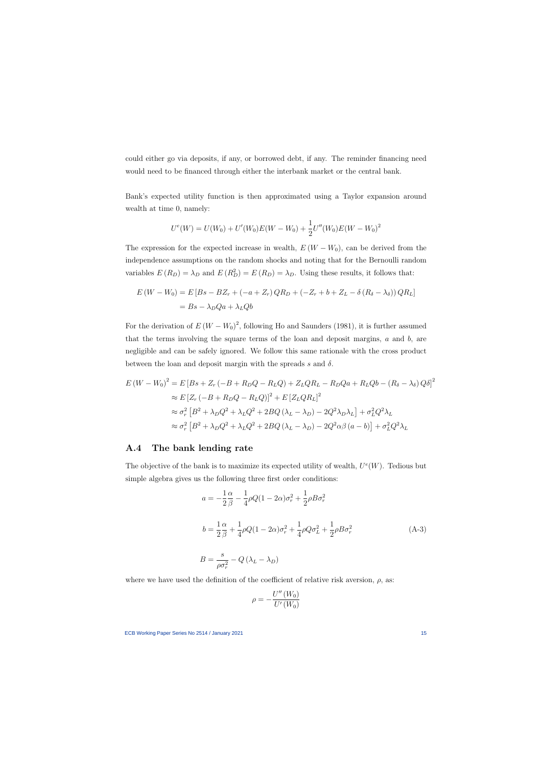could either go via deposits, if any, or borrowed debt, if any. The reminder financing need would need to be financed through either the interbank market or the central bank.

Bank's expected utility function is then approximated using a Taylor expansion around wealth at time 0, namely:

$$
U^{e}(W) = U(W_{0}) + U'(W_{0})E(W - W_{0}) + \frac{1}{2}U''(W_{0})E(W - W_{0})^{2}
$$

The expression for the expected increase in wealth,  $E(W - W_0)$ , can be derived from the independence assumptions on the random shocks and noting that for the Bernoulli random variables  $E(R_D) = \lambda_D$  and  $E(R_D^2) = E(R_D) = \lambda_D$ . Using these results, it follows that:

$$
E(W - W_0) = E[Bs - BZ_r + (-a + Z_r)QR_D + (-Z_r + b + Z_L - \delta (R_{\delta} - \lambda_{\delta}))QR_L]
$$
  
= 
$$
Bs - \lambda_D Qa + \lambda_L Qb
$$

For the derivation of  $E(W - W_0)^2$ , following Ho and Saunders (1981), it is further assumed that the terms involving the square terms of the loan and deposit margins,  $a$  and  $b$ , are negligible and can be safely ignored. We follow this same rationale with the cross product between the loan and deposit margin with the spreads s and  $\delta$ .

$$
E (W - W_0)^2 = E [Bs + Z_r (-B + R_DQ - R_LQ) + Z_LQR_L - R_DQa + R_LQb - (R_\delta - \lambda_\delta)Q\delta]^2
$$
  
\n
$$
\approx E [Z_r (-B + R_DQ - R_LQ)]^2 + E [Z_LQR_L]^2
$$
  
\n
$$
\approx \sigma_r^2 [B^2 + \lambda_D Q^2 + \lambda_L Q^2 + 2BQ (\lambda_L - \lambda_D) - 2Q^2 \lambda_D \lambda_L] + \sigma_L^2 Q^2 \lambda_L
$$
  
\n
$$
\approx \sigma_r^2 [B^2 + \lambda_D Q^2 + \lambda_L Q^2 + 2BQ (\lambda_L - \lambda_D) - 2Q^2 \alpha \beta (a - b)] + \sigma_L^2 Q^2 \lambda_L
$$

#### A.4 The bank lending rate

The objective of the bank is to maximize its expected utility of wealth,  $U^e(W)$ . Tedious but simple algebra gives us the following three first order conditions:

$$
a = -\frac{1}{2}\frac{\alpha}{\beta} - \frac{1}{4}\rho Q(1 - 2\alpha)\sigma_r^2 + \frac{1}{2}\rho B \sigma_r^2
$$
  
\n
$$
b = \frac{1}{2}\frac{\alpha}{\beta} + \frac{1}{4}\rho Q(1 - 2\alpha)\sigma_r^2 + \frac{1}{4}\rho Q \sigma_L^2 + \frac{1}{2}\rho B \sigma_r^2
$$
  
\n
$$
B = \frac{s}{\rho \sigma_r^2} - Q(\lambda_L - \lambda_D)
$$
\n(A-3)

where we have used the definition of the coefficient of relative risk aversion,  $\rho$ , as:

$$
\rho = -\frac{U''(W_0)}{U'(W_0)}
$$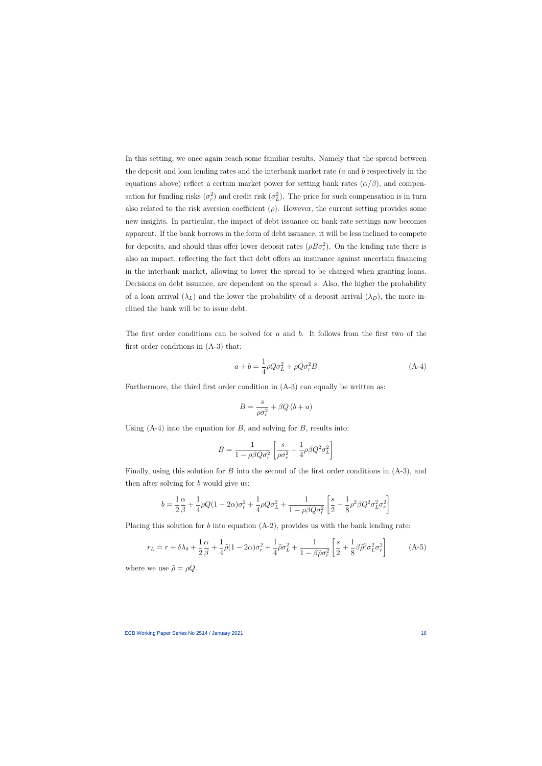In this setting, we once again reach some familiar results. Namely that the spread between the deposit and loan lending rates and the interbank market rate (a and b respectively in the equations above) reflect a certain market power for setting bank rates  $(\alpha/\beta)$ , and compensation for funding risks  $(\sigma_r^2)$  and credit risk  $(\sigma_L^2)$ . The price for such compensation is in turn also related to the risk aversion coefficient  $(\rho)$ . However, the current setting provides some new insights. In particular, the impact of debt issuance on bank rate settings now becomes apparent. If the bank borrows in the form of debt issuance, it will be less inclined to compete for deposits, and should thus offer lower deposit rates  $(\rho B \sigma_r^2)$ . On the lending rate there is also an impact, reflecting the fact that debt offers an insurance against uncertain financing in the interbank market, allowing to lower the spread to be charged when granting loans. Decisions on debt issuance, are dependent on the spread s. Also, the higher the probability of a loan arrival  $(\lambda_L)$  and the lower the probability of a deposit arrival  $(\lambda_D)$ , the more inclined the bank will be to issue debt.

The first order conditions can be solved for a and b. It follows from the first two of the first order conditions in (A-3) that:

$$
a + b = \frac{1}{4}\rho Q \sigma_L^2 + \rho Q \sigma_r^2 B \tag{A-4}
$$

Furthermore, the third first order condition in (A-3) can equally be written as:

$$
B = \frac{s}{\rho \sigma_r^2} + \beta Q \left( b + a \right)
$$

Using  $(A-4)$  into the equation for B, and solving for B, results into:

$$
B = \frac{1}{1 - \rho \beta Q \sigma_r^2} \left[ \frac{s}{\rho \sigma_r^2} + \frac{1}{4} \rho \beta Q^2 \sigma_L^2 \right]
$$

Finally, using this solution for  $B$  into the second of the first order conditions in  $(A-3)$ , and then after solving for b would give us:

$$
b = \frac{1}{2}\frac{\alpha}{\beta} + \frac{1}{4}\rho Q(1 - 2\alpha)\sigma_r^2 + \frac{1}{4}\rho Q \sigma_L^2 + \frac{1}{1 - \rho\beta Q \sigma_r^2} \left[ \frac{s}{2} + \frac{1}{8}\rho^2 \beta Q^2 \sigma_L^2 \sigma_r^2 \right]
$$

Placing this solution for b into equation  $(A-2)$ , provides us with the bank lending rate:

$$
r_L = r + \delta\lambda_\delta + \frac{1}{2}\frac{\alpha}{\beta} + \frac{1}{4}\tilde{\rho}(1 - 2\alpha)\sigma_r^2 + \frac{1}{4}\tilde{\rho}\sigma_L^2 + \frac{1}{1 - \beta\tilde{\rho}\sigma_r^2} \left[\frac{s}{2} + \frac{1}{8}\beta\tilde{\rho}^2\sigma_L^2\sigma_r^2\right]
$$
(A-5)

where we use  $\tilde{\rho} = \rho Q$ .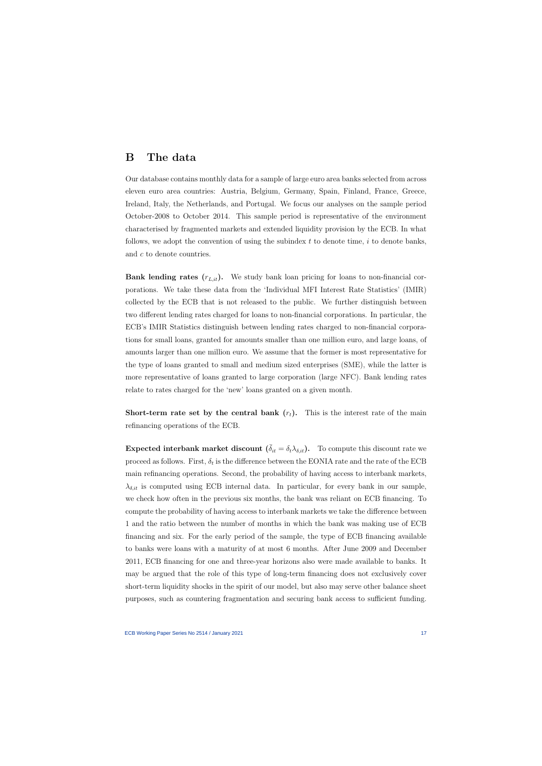## B The data

Our database contains monthly data for a sample of large euro area banks selected from across eleven euro area countries: Austria, Belgium, Germany, Spain, Finland, France, Greece, Ireland, Italy, the Netherlands, and Portugal. We focus our analyses on the sample period October-2008 to October 2014. This sample period is representative of the environment characterised by fragmented markets and extended liquidity provision by the ECB. In what follows, we adopt the convention of using the subindex  $t$  to denote time,  $i$  to denote banks, and c to denote countries.

Bank lending rates  $(r_{L,it})$ . We study bank loan pricing for loans to non-financial corporations. We take these data from the 'Individual MFI Interest Rate Statistics' (IMIR) collected by the ECB that is not released to the public. We further distinguish between two different lending rates charged for loans to non-financial corporations. In particular, the ECB's IMIR Statistics distinguish between lending rates charged to non-financial corporations for small loans, granted for amounts smaller than one million euro, and large loans, of amounts larger than one million euro. We assume that the former is most representative for the type of loans granted to small and medium sized enterprises (SME), while the latter is more representative of loans granted to large corporation (large NFC). Bank lending rates relate to rates charged for the 'new' loans granted on a given month.

**Short-term rate set by the central bank**  $(r_t)$ . This is the interest rate of the main refinancing operations of the ECB.

Expected interbank market discount  $(\bar{\delta}_{it} = \delta_t \lambda_{\delta, it})$ . To compute this discount rate we proceed as follows. First,  $\delta_t$  is the difference between the EONIA rate and the rate of the ECB main refinancing operations. Second, the probability of having access to interbank markets,  $\lambda_{\delta, it}$  is computed using ECB internal data. In particular, for every bank in our sample, we check how often in the previous six months, the bank was reliant on ECB financing. To compute the probability of having access to interbank markets we take the difference between 1 and the ratio between the number of months in which the bank was making use of ECB financing and six. For the early period of the sample, the type of ECB financing available to banks were loans with a maturity of at most 6 months. After June 2009 and December 2011, ECB financing for one and three-year horizons also were made available to banks. It may be argued that the role of this type of long-term financing does not exclusively cover short-term liquidity shocks in the spirit of our model, but also may serve other balance sheet purposes, such as countering fragmentation and securing bank access to sufficient funding.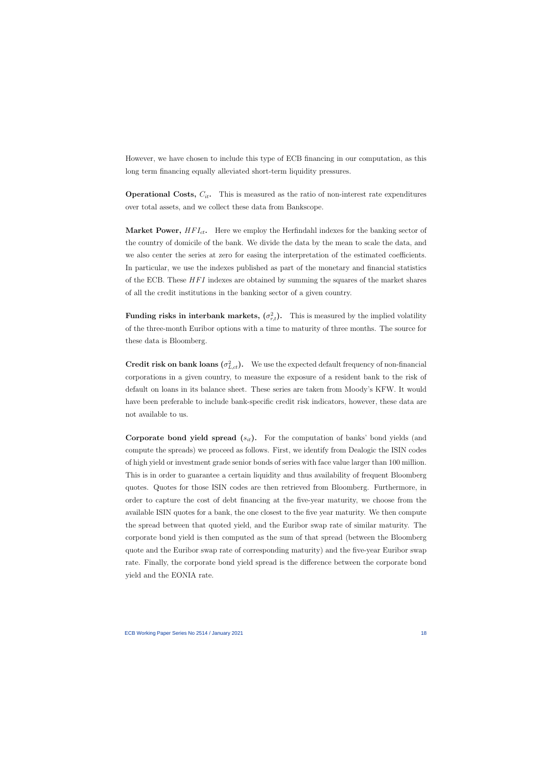However, we have chosen to include this type of ECB financing in our computation, as this long term financing equally alleviated short-term liquidity pressures.

**Operational Costs,**  $C_{it}$ . This is measured as the ratio of non-interest rate expenditures over total assets, and we collect these data from Bankscope.

**Market Power,**  $HFI_{ct}$ . Here we employ the Herfindahl indexes for the banking sector of the country of domicile of the bank. We divide the data by the mean to scale the data, and we also center the series at zero for easing the interpretation of the estimated coefficients. In particular, we use the indexes published as part of the monetary and financial statistics of the ECB. These  $HFI$  indexes are obtained by summing the squares of the market shares of all the credit institutions in the banking sector of a given country.

Funding risks in interbank markets,  $(\sigma_{r,t}^2)$ . This is measured by the implied volatility of the three-month Euribor options with a time to maturity of three months. The source for these data is Bloomberg.

**Credit risk on bank loans**  $(\sigma_{L,ct}^2)$ . We use the expected default frequency of non-financial corporations in a given country, to measure the exposure of a resident bank to the risk of default on loans in its balance sheet. These series are taken from Moody's KFW. It would have been preferable to include bank-specific credit risk indicators, however, these data are not available to us.

**Corporate bond yield spread**  $(s_{it})$ . For the computation of banks' bond yields (and compute the spreads) we proceed as follows. First, we identify from Dealogic the ISIN codes of high yield or investment grade senior bonds of series with face value larger than 100 million. This is in order to guarantee a certain liquidity and thus availability of frequent Bloomberg quotes. Quotes for those ISIN codes are then retrieved from Bloomberg. Furthermore, in order to capture the cost of debt financing at the five-year maturity, we choose from the available ISIN quotes for a bank, the one closest to the five year maturity. We then compute the spread between that quoted yield, and the Euribor swap rate of similar maturity. The corporate bond yield is then computed as the sum of that spread (between the Bloomberg quote and the Euribor swap rate of corresponding maturity) and the five-year Euribor swap rate. Finally, the corporate bond yield spread is the difference between the corporate bond yield and the EONIA rate.